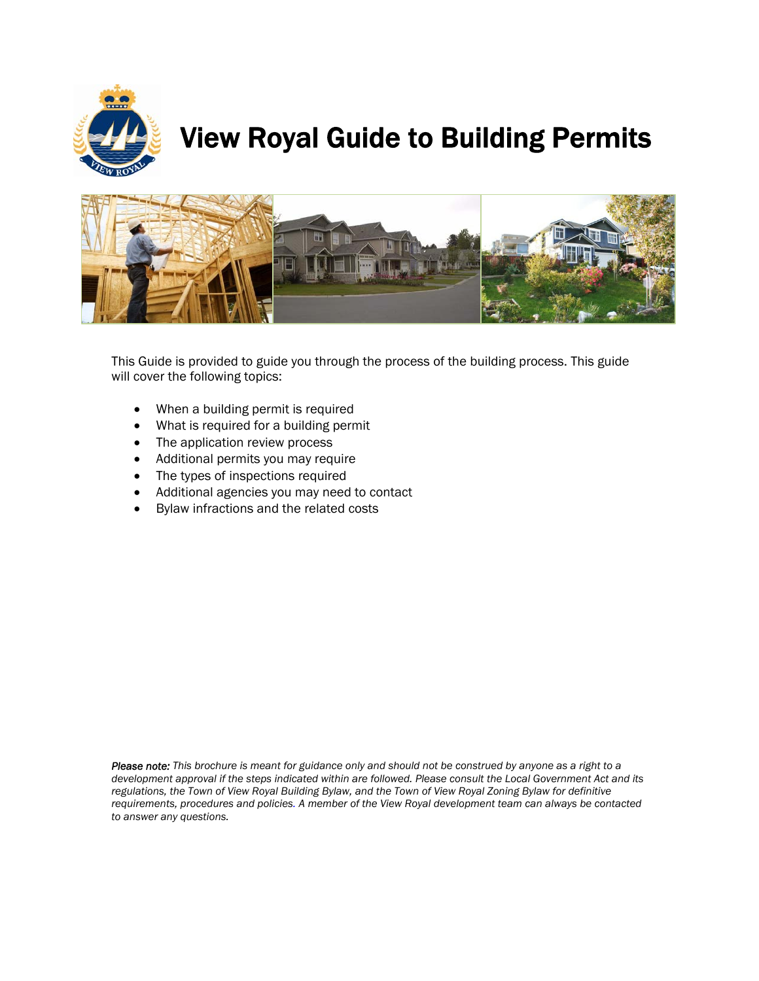

# View Royal Guide to Building Permits



This Guide is provided to guide you through the process of the building process. This guide will cover the following topics:

- When a building permit is required
- What is required for a building permit
- The application review process
- Additional permits you may require
- The types of inspections required
- Additional agencies you may need to contact
- Bylaw infractions and the related costs

*Please note: This brochure is meant for guidance only and should not be construed by anyone as a right to a development approval if the steps indicated within are followed. Please consult the Local Government Act and its regulations, the Town of View Royal Building Bylaw, and the Town of View Royal Zoning Bylaw for definitive requirements, procedures and policies. A member of the View Royal development team can always be contacted to answer any questions.*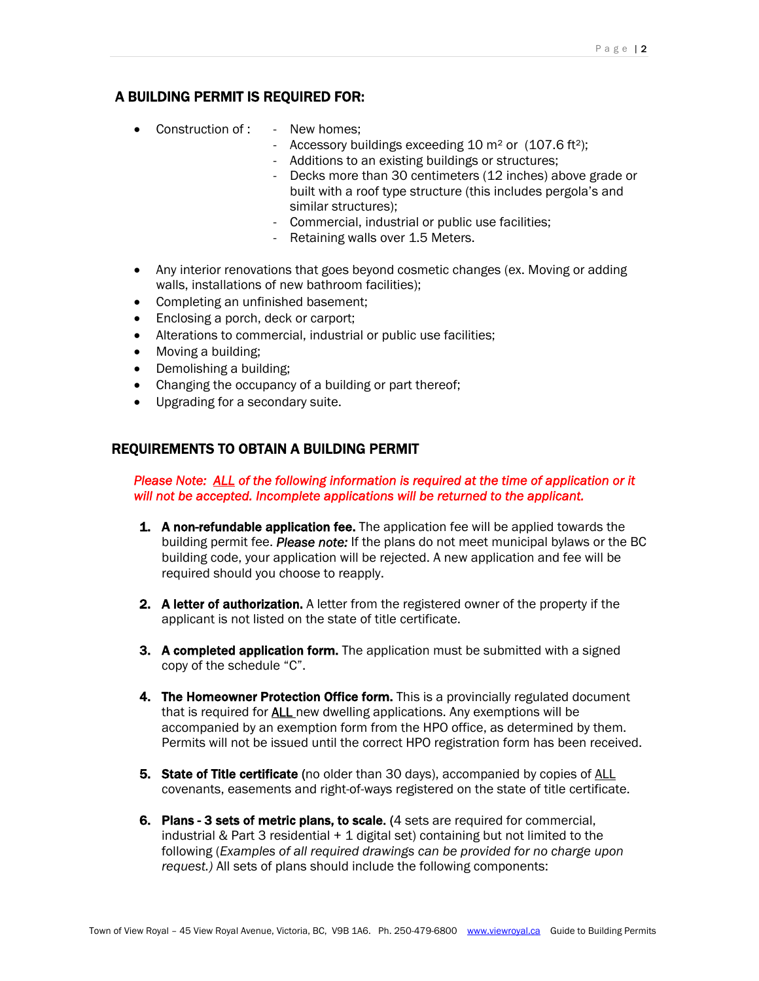# A BUILDING PERMIT IS REQUIRED FOR:

- Construction of : New homes;
	- Accessory buildings exceeding  $10 \text{ m}^2$  or  $(107.6 \text{ ft}^2)$ ;
	- Additions to an existing buildings or structures;
	- Decks more than 30 centimeters (12 inches) above grade or built with a roof type structure (this includes pergola's and similar structures);
	- Commercial, industrial or public use facilities;
	- Retaining walls over 1.5 Meters.
- Any interior renovations that goes beyond cosmetic changes (ex. Moving or adding walls, installations of new bathroom facilities);
- Completing an unfinished basement:
- Enclosing a porch, deck or carport;
- Alterations to commercial, industrial or public use facilities;
- Moving a building;
- Demolishing a building;
- Changing the occupancy of a building or part thereof;
- Upgrading for a secondary suite.

# REQUIREMENTS TO OBTAIN A BUILDING PERMIT

*Please Note: ALL of the following information is required at the time of application or it will not be accepted. Incomplete applications will be returned to the applicant.*

- **1.** A non-refundable application fee. The application fee will be applied towards the building permit fee. *Please note:* If the plans do not meet municipal bylaws or the BC building code, your application will be rejected. A new application and fee will be required should you choose to reapply.
- **2.** A letter of authorization. A letter from the registered owner of the property if the applicant is not listed on the state of title certificate.
- **3.** A completed application form. The application must be submitted with a signed copy of the schedule "C".
- **4. The Homeowner Protection Office form.** This is a provincially regulated document that is required for ALL new dwelling applications. Any exemptions will be accompanied by an exemption form from the HPO office, as determined by them. Permits will not be issued until the correct HPO registration form has been received.
- **5.** State of Title certificate (no older than 30 days), accompanied by copies of ALL covenants, easements and right-of-ways registered on the state of title certificate.
- 6. Plans 3 sets of metric plans, to scale. (4 sets are required for commercial, industrial & Part 3 residential + 1 digital set) containing but not limited to the following (*Examples of all required drawings can be provided for no charge upon request.)* All sets of plans should include the following components: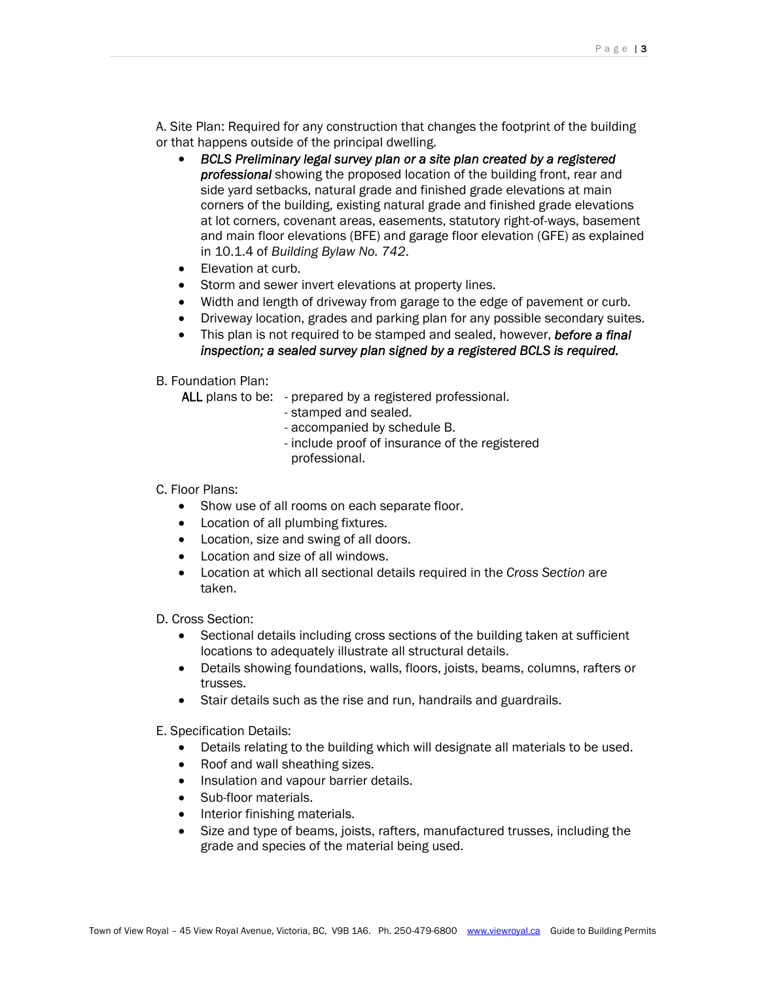A. Site Plan: Required for any construction that changes the footprint of the building or that happens outside of the principal dwelling.

- *BCLS Preliminary legal survey plan or a site plan created by a registered professional* showing the proposed location of the building front, rear and side yard setbacks, natural grade and finished grade elevations at main corners of the building, existing natural grade and finished grade elevations at lot corners, covenant areas, easements, statutory right-of-ways, basement and main floor elevations (BFE) and garage floor elevation (GFE) as explained in 10.1.4 of *Building Bylaw No. 742*.
- Elevation at curb.
- Storm and sewer invert elevations at property lines.
- Width and length of driveway from garage to the edge of pavement or curb.
- Driveway location, grades and parking plan for any possible secondary suites.
- This plan is not required to be stamped and sealed, however, *before a final inspection; a sealed survey plan signed by a registered BCLS is required.*

# B. Foundation Plan:

ALL plans to be: - prepared by a registered professional.

- stamped and sealed.
- accompanied by schedule B.
- include proof of insurance of the registered professional.

# C. Floor Plans:

- Show use of all rooms on each separate floor.
- Location of all plumbing fixtures.
- Location, size and swing of all doors.
- Location and size of all windows.
- Location at which all sectional details required in the *Cross Section* are taken.

D. Cross Section:

- Sectional details including cross sections of the building taken at sufficient locations to adequately illustrate all structural details.
- Details showing foundations, walls, floors, joists, beams, columns, rafters or trusses.
- Stair details such as the rise and run, handrails and guardrails.

E. Specification Details:

- Details relating to the building which will designate all materials to be used.
- Roof and wall sheathing sizes.
- Insulation and vapour barrier details.
- Sub-floor materials.
- Interior finishing materials.
- Size and type of beams, joists, rafters, manufactured trusses, including the grade and species of the material being used.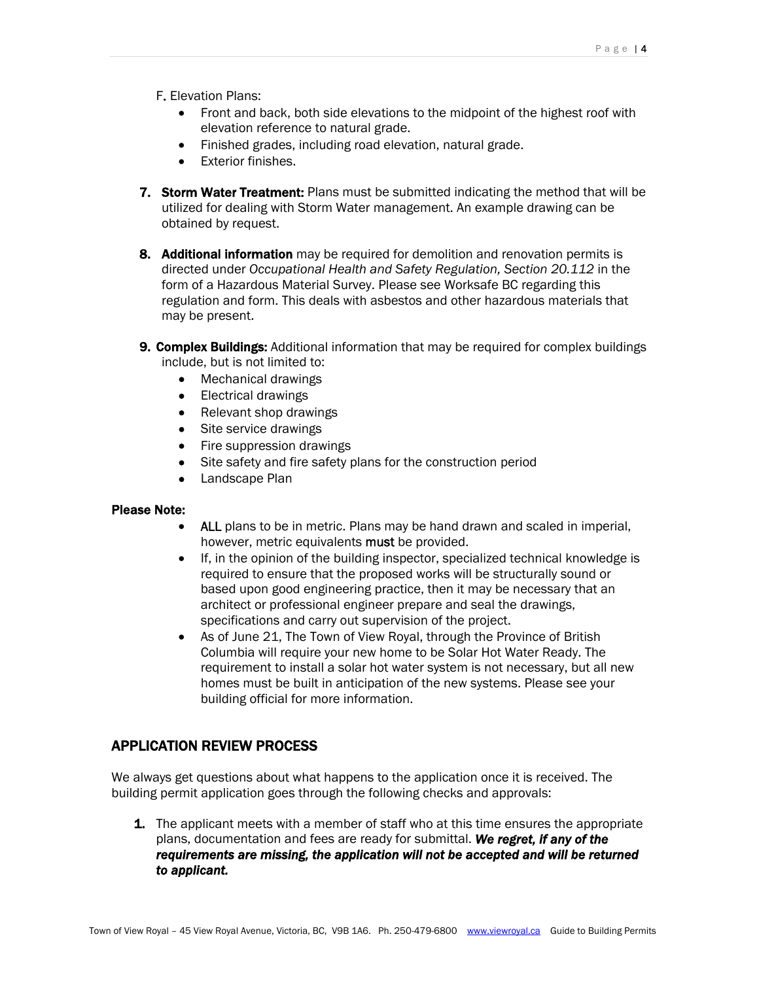F. Elevation Plans:

- Front and back, both side elevations to the midpoint of the highest roof with elevation reference to natural grade.
- Finished grades, including road elevation, natural grade.
- Exterior finishes.
- **7. Storm Water Treatment:** Plans must be submitted indicating the method that will be utilized for dealing with Storm Water management. An example drawing can be obtained by request.
- 8. Additional information may be required for demolition and renovation permits is directed under *Occupational Health and Safety Regulation, Section 20.112* in the form of a Hazardous Material Survey. Please see Worksafe BC regarding this regulation and form. This deals with asbestos and other hazardous materials that may be present.
- **9. Complex Buildings:** Additional information that may be required for complex buildings include, but is not limited to:
	- Mechanical drawings
	- Electrical drawings
	- Relevant shop drawings
	- Site service drawings
	- Fire suppression drawings
	- Site safety and fire safety plans for the construction period
	- Landscape Plan

## Please Note:

- ALL plans to be in metric. Plans may be hand drawn and scaled in imperial, however, metric equivalents must be provided.
- If, in the opinion of the building inspector, specialized technical knowledge is required to ensure that the proposed works will be structurally sound or based upon good engineering practice, then it may be necessary that an architect or professional engineer prepare and seal the drawings, specifications and carry out supervision of the project.
- As of June 21, The Town of View Royal, through the Province of British Columbia will require your new home to be Solar Hot Water Ready. The requirement to install a solar hot water system is not necessary, but all new homes must be built in anticipation of the new systems. Please see your building official for more information.

# APPLICATION REVIEW PROCESS

We always get questions about what happens to the application once it is received. The building permit application goes through the following checks and approvals:

**1.** The applicant meets with a member of staff who at this time ensures the appropriate plans, documentation and fees are ready for submittal. *We regret, if any of the*  requirements are missing, the application will not be accepted and will be returned *to applicant.*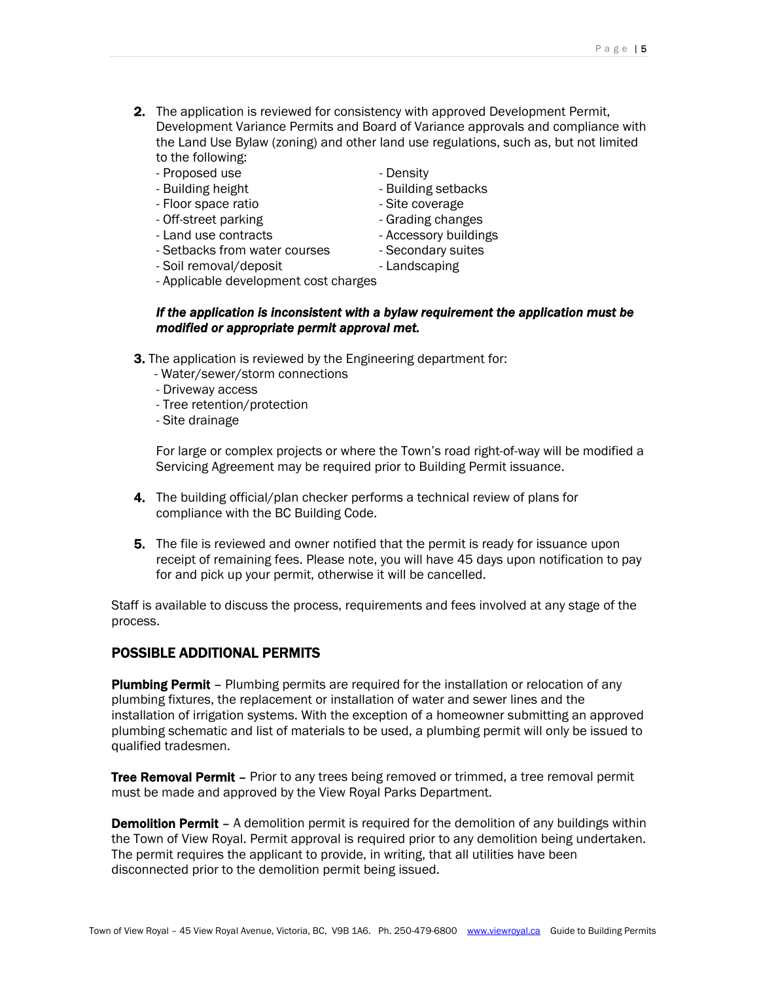- **2.** The application is reviewed for consistency with approved Development Permit, Development Variance Permits and Board of Variance approvals and compliance with the Land Use Bylaw (zoning) and other land use regulations, such as, but not limited to the following:
	- Proposed use Density
	-
	- Floor space ratio entitled and some state coverage
	- Off-street parking entitled by the Grading changes
	-
	- Setbacks from water courses Secondary suites
	- Soil removal/deposit Landscaping
	- Applicable development cost charges
- - Building height Building setbacks
		-
		-
	- Land use contracts Accessory buildings
		-
		-
	-

# *If the application is inconsistent with a bylaw requirement the application must be modified or appropriate permit approval met.*

- **3.** The application is reviewed by the Engineering department for:
	- Water/sewer/storm connections
	- Driveway access
	- Tree retention/protection
	- Site drainage

For large or complex projects or where the Town's road right-of-way will be modified a Servicing Agreement may be required prior to Building Permit issuance.

- 4. The building official/plan checker performs a technical review of plans for compliance with the BC Building Code.
- **5.** The file is reviewed and owner notified that the permit is ready for issuance upon receipt of remaining fees. Please note, you will have 45 days upon notification to pay for and pick up your permit, otherwise it will be cancelled.

Staff is available to discuss the process, requirements and fees involved at any stage of the process.

# POSSIBLE ADDITIONAL PERMITS

**Plumbing Permit** – Plumbing permits are required for the installation or relocation of any plumbing fixtures, the replacement or installation of water and sewer lines and the installation of irrigation systems. With the exception of a homeowner submitting an approved plumbing schematic and list of materials to be used, a plumbing permit will only be issued to qualified tradesmen.

**Tree Removal Permit** – Prior to any trees being removed or trimmed, a tree removal permit must be made and approved by the View Royal Parks Department.

**Demolition Permit** – A demolition permit is required for the demolition of any buildings within the Town of View Royal. Permit approval is required prior to any demolition being undertaken. The permit requires the applicant to provide, in writing, that all utilities have been disconnected prior to the demolition permit being issued.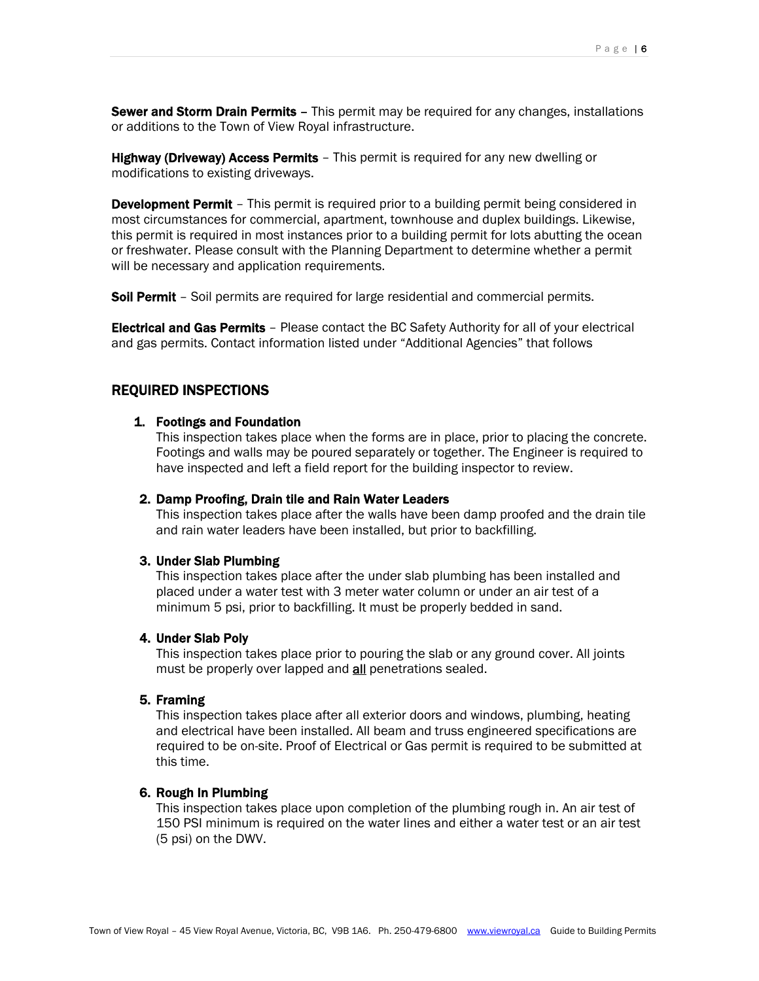**Sewer and Storm Drain Permits** – This permit may be required for any changes, installations or additions to the Town of View Royal infrastructure.

**Highway (Driveway) Access Permits** - This permit is required for any new dwelling or modifications to existing driveways.

**Development Permit** – This permit is required prior to a building permit being considered in most circumstances for commercial, apartment, townhouse and duplex buildings. Likewise, this permit is required in most instances prior to a building permit for lots abutting the ocean or freshwater. Please consult with the Planning Department to determine whether a permit will be necessary and application requirements.

**Soil Permit** – Soil permits are required for large residential and commercial permits.

**Electrical and Gas Permits** - Please contact the BC Safety Authority for all of your electrical and gas permits. Contact information listed under "Additional Agencies" that follows

# REQUIRED INSPECTIONS

#### 1. Footings and Foundation

This inspection takes place when the forms are in place, prior to placing the concrete. Footings and walls may be poured separately or together. The Engineer is required to have inspected and left a field report for the building inspector to review.

#### 2. Damp Proofing, Drain tile and Rain Water Leaders

This inspection takes place after the walls have been damp proofed and the drain tile and rain water leaders have been installed, but prior to backfilling.

#### 3. Under Slab Plumbing

This inspection takes place after the under slab plumbing has been installed and placed under a water test with 3 meter water column or under an air test of a minimum 5 psi, prior to backfilling. It must be properly bedded in sand.

#### 4. Under Slab Poly

This inspection takes place prior to pouring the slab or any ground cover. All joints must be properly over lapped and **all** penetrations sealed.

#### 5. Framing

This inspection takes place after all exterior doors and windows, plumbing, heating and electrical have been installed. All beam and truss engineered specifications are required to be on-site. Proof of Electrical or Gas permit is required to be submitted at this time.

# 6. Rough In Plumbing

This inspection takes place upon completion of the plumbing rough in. An air test of 150 PSI minimum is required on the water lines and either a water test or an air test (5 psi) on the DWV.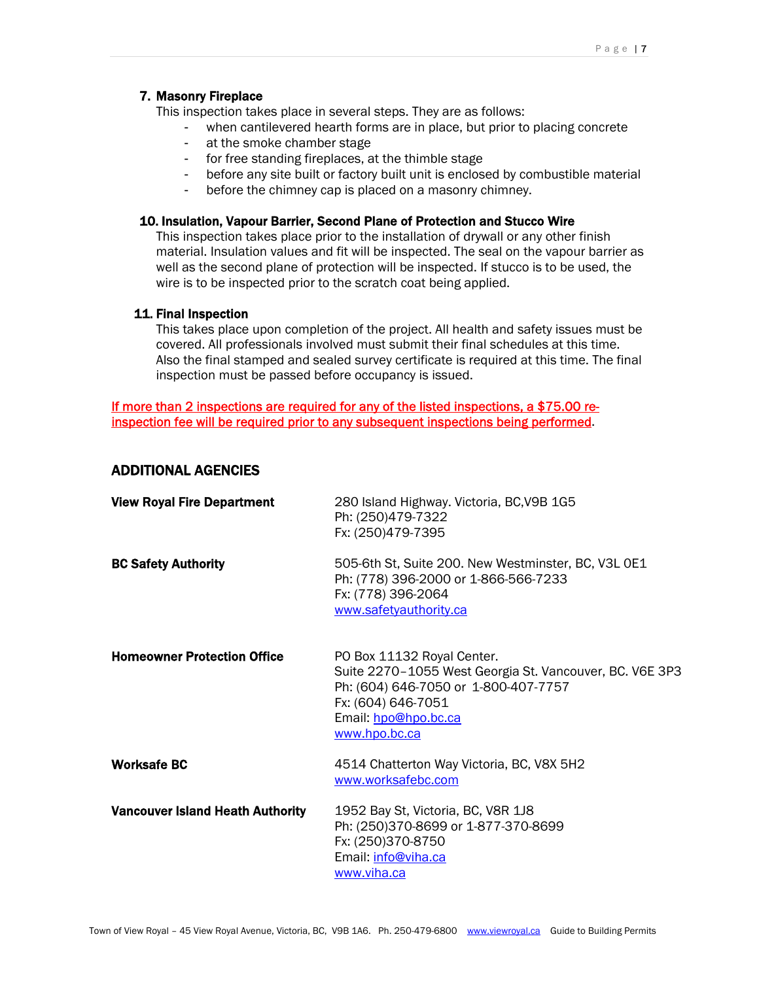# 7. Masonry Fireplace

This inspection takes place in several steps. They are as follows:

- when cantilevered hearth forms are in place, but prior to placing concrete
- at the smoke chamber stage
- for free standing fireplaces, at the thimble stage
- before any site built or factory built unit is enclosed by combustible material
- before the chimney cap is placed on a masonry chimney.

## 10. Insulation, Vapour Barrier, Second Plane of Protection and Stucco Wire

This inspection takes place prior to the installation of drywall or any other finish material. Insulation values and fit will be inspected. The seal on the vapour barrier as well as the second plane of protection will be inspected. If stucco is to be used, the wire is to be inspected prior to the scratch coat being applied.

#### 11. Final Inspection

This takes place upon completion of the project. All health and safety issues must be covered. All professionals involved must submit their final schedules at this time. Also the final stamped and sealed survey certificate is required at this time. The final inspection must be passed before occupancy is issued.

# If more than 2 inspections are required for any of the listed inspections, a \$75.00 reinspection fee will be required prior to any subsequent inspections being performed.

# ADDITIONAL AGENCIES

| <b>View Royal Fire Department</b>       | 280 Island Highway. Victoria, BC, V9B 1G5<br>Ph: (250)479-7322<br>Fx: (250)479-7395                                                                                                          |
|-----------------------------------------|----------------------------------------------------------------------------------------------------------------------------------------------------------------------------------------------|
| <b>BC Safety Authority</b>              | 505-6th St, Suite 200. New Westminster, BC, V3L 0E1<br>Ph: (778) 396-2000 or 1-866-566-7233<br>Fx: (778) 396-2064<br>www.safetyauthority.ca                                                  |
| <b>Homeowner Protection Office</b>      | PO Box 11132 Royal Center.<br>Suite 2270-1055 West Georgia St. Vancouver, BC. V6E 3P3<br>Ph: (604) 646-7050 or 1-800-407-7757<br>Fx: (604) 646-7051<br>Email: hpo@hpo.bc.ca<br>www.hpo.bc.ca |
| <b>Worksafe BC</b>                      | 4514 Chatterton Way Victoria, BC, V8X 5H2<br>www.worksafebc.com                                                                                                                              |
| <b>Vancouver Island Heath Authority</b> | 1952 Bay St, Victoria, BC, V8R 1J8<br>Ph: (250)370-8699 or 1-877-370-8699<br>Fx: (250)370-8750<br>Email: info@viha.ca<br>www.viha.ca                                                         |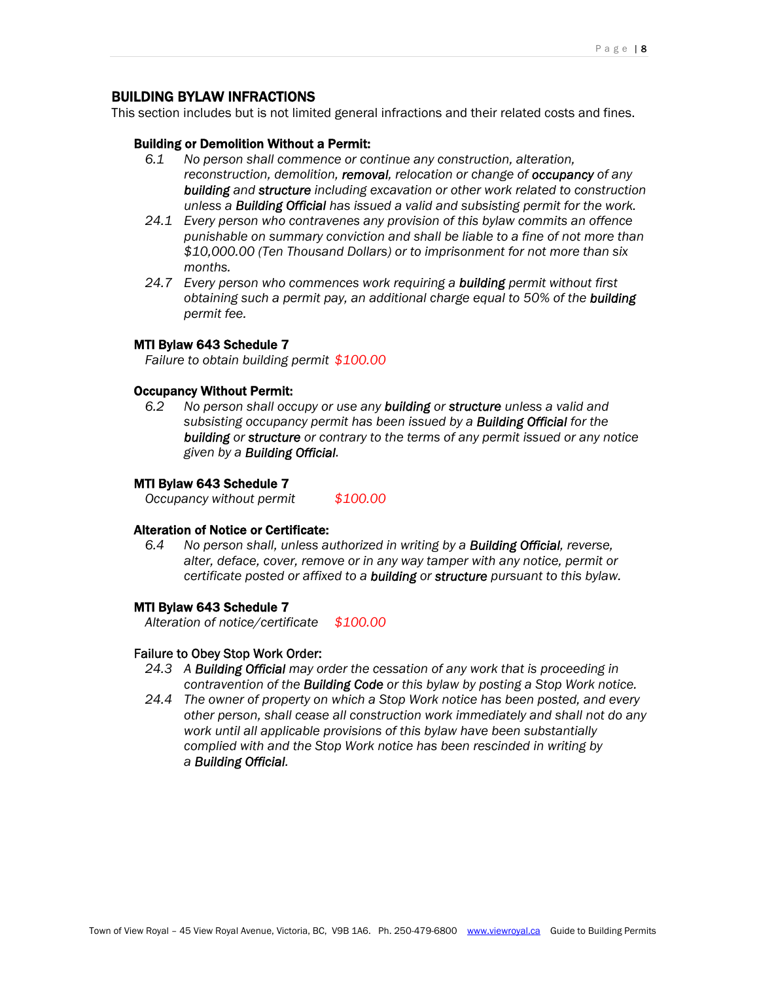# BUILDING BYLAW INFRACTIONS

This section includes but is not limited general infractions and their related costs and fines.

#### Building or Demolition Without a Permit:

- *6.1 No person shall commence or continue any construction, alteration, reconstruction, demolition, removal, relocation or change of occupancy of any building and structure including excavation or other work related to construction unless a Building Official has issued a valid and subsisting permit for the work.*
- *24.1 Every person who contravenes any provision of this bylaw commits an offence punishable on summary conviction and shall be liable to a fine of not more than \$10,000.00 (Ten Thousand Dollars) or to imprisonment for not more than six months.*
- *24.7 Every person who commences work requiring a building permit without first obtaining such a permit pay, an additional charge equal to 50% of the building permit fee.*

#### MTI Bylaw 643 Schedule 7

*Failure to obtain building permit \$100.00* 

# Occupancy Without Permit:

*6.2 No person shall occupy or use any building or structure unless a valid and subsisting occupancy permit has been issued by a Building Official for the building or structure or contrary to the terms of any permit issued or any notice given by a Building Official.* 

## MTI Bylaw 643 Schedule 7

*Occupancy without permit \$100.00*

#### Alteration of Notice or Certificate:

*6.4 No person shall, unless authorized in writing by a Building Official, reverse, alter, deface, cover, remove or in any way tamper with any notice, permit or certificate posted or affixed to a building or structure pursuant to this bylaw.* 

#### MTI Bylaw 643 Schedule 7

 *Alteration of notice/certificate \$100.00* 

#### Failure to Obey Stop Work Order:

- *24.3 A Building Official may order the cessation of any work that is proceeding in contravention of the Building Code or this bylaw by posting a Stop Work notice.*
- *24.4 The owner of property on which a Stop Work notice has been posted, and every other person, shall cease all construction work immediately and shall not do any work until all applicable provisions of this bylaw have been substantially complied with and the Stop Work notice has been rescinded in writing by a Building Official.*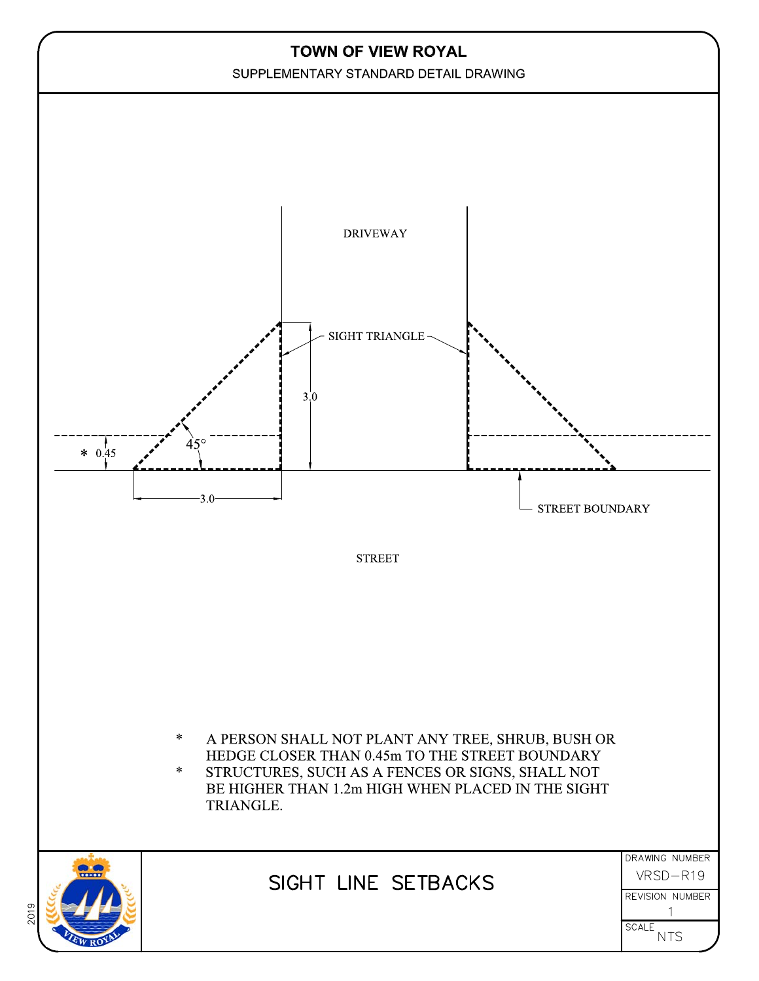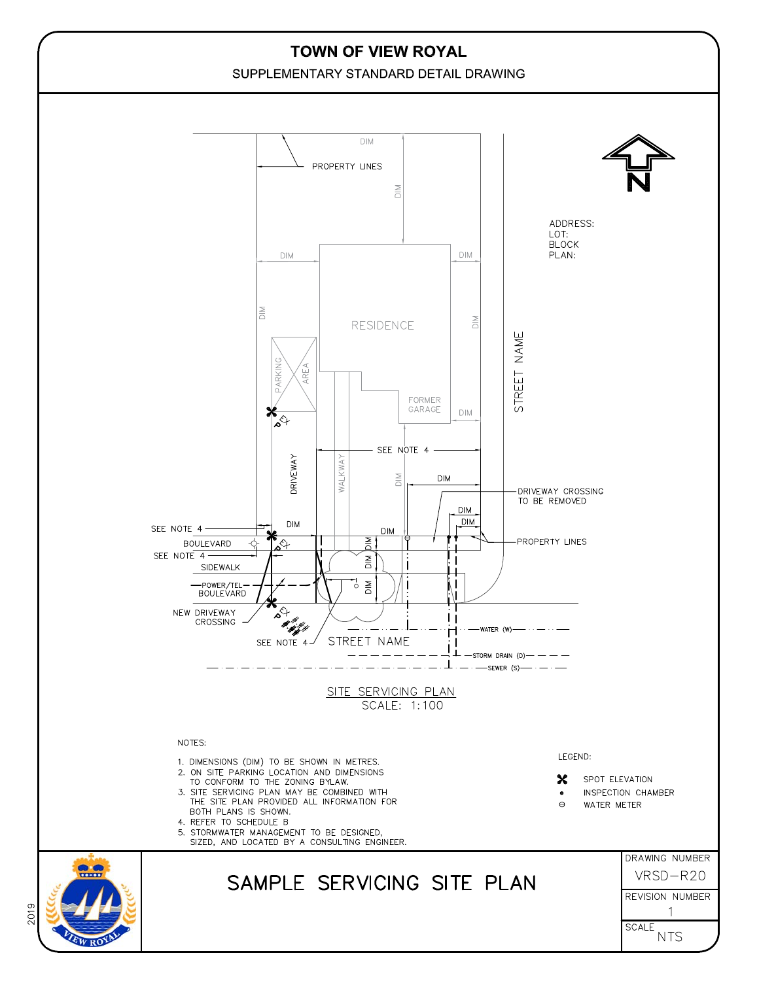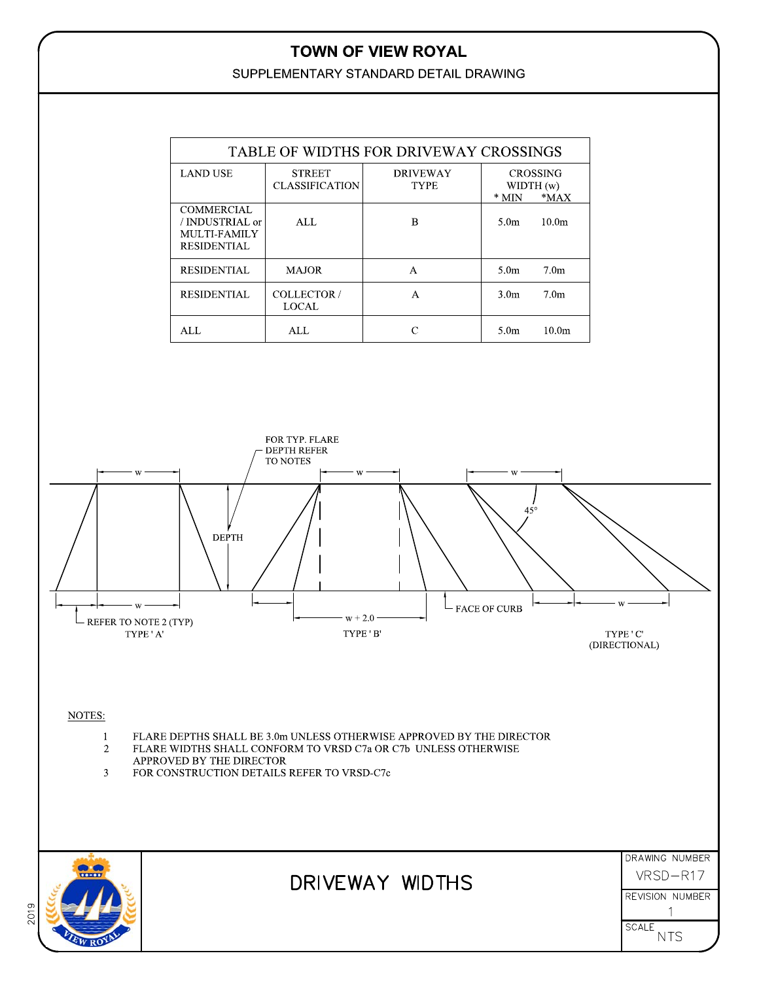# TOWN OF VIEW ROYAL

SUPPLEMENTARY STANDARD DETAIL DRAWING

|      |                                                                                          | TABLE OF WIDTHS FOR DRIVEWAY CROSSINGS                                                                                                                                                                                                                                                                                                  |                                                                               |                                                                                  |                                     |                   |                                                                                                                                                               |
|------|------------------------------------------------------------------------------------------|-----------------------------------------------------------------------------------------------------------------------------------------------------------------------------------------------------------------------------------------------------------------------------------------------------------------------------------------|-------------------------------------------------------------------------------|----------------------------------------------------------------------------------|-------------------------------------|-------------------|---------------------------------------------------------------------------------------------------------------------------------------------------------------|
|      |                                                                                          | <b>LAND USE</b>                                                                                                                                                                                                                                                                                                                         | <b>STREET</b><br><b>CLASSIFICATION</b>                                        | <b>DRIVEWAY</b><br>CROSSING<br>WIDTH (w)<br><b>TYPE</b><br>$^\ast$ MIN<br>$*MAX$ |                                     |                   |                                                                                                                                                               |
|      | <b>COMMERCIAL</b><br>/ INDUSTRIAL or<br>ALL<br>MULTI-FAMILY<br><b>RESIDENTIAL</b>        |                                                                                                                                                                                                                                                                                                                                         |                                                                               | $\, {\bf B}$                                                                     | 5.0 <sub>m</sub>                    | 10.0m             |                                                                                                                                                               |
|      |                                                                                          | <b>RESIDENTIAL</b>                                                                                                                                                                                                                                                                                                                      | <b>MAJOR</b>                                                                  | $\mathbf{A}$                                                                     | 5.0 <sub>m</sub>                    | 7.0 <sub>m</sub>  |                                                                                                                                                               |
|      |                                                                                          | <b>RESIDENTIAL</b>                                                                                                                                                                                                                                                                                                                      | COLLECTOR /<br><b>LOCAL</b>                                                   | $\mathbf{A}$                                                                     | 3.0 <sub>m</sub>                    | 7.0 <sub>m</sub>  |                                                                                                                                                               |
|      |                                                                                          | ALL                                                                                                                                                                                                                                                                                                                                     | ALL                                                                           | ${\bf C}$                                                                        | 5.0 <sub>m</sub>                    | 10.0 <sub>m</sub> |                                                                                                                                                               |
|      | W<br>- REFER TO NOTE 2 (TYP)<br>NOTES:<br>$\mathbf{1}$<br>2<br>$\overline{3}$<br>$- - -$ | <b>DEPTH</b><br>$\ensuremath{\mathsf{T}}\ensuremath{\mathsf{Y}}\ensuremath{\mathsf{P}}\ensuremath{\mathsf{E}}$ ' A'<br>FLARE DEPTHS SHALL BE 3.0m UNLESS OTHERWISE APPROVED BY THE DIRECTOR<br>FLARE WIDTHS SHALL CONFORM TO VRSD C7a OR C7b UNLESS OTHERWISE<br>APPROVED BY THE DIRECTOR<br>FOR CONSTRUCTION DETAILS REFER TO VRSD-C7c | FOR TYP. FLARE<br><b>DEPTH REFER</b><br>TO NOTES<br>W<br>$w + 2.0$<br>TYPE'B' |                                                                                  | W<br>$45^{\circ}$<br>- FACE OF CURB |                   | $\ensuremath{\mathsf{T}}\ensuremath{\mathsf{Y}}\ensuremath{\mathsf{P}}\ensuremath{\mathsf{E}}$ ' $\ensuremath{\mathsf{C}}$<br>(DIRECTIONAL)<br>DRAWING NUMBER |
| 2019 |                                                                                          |                                                                                                                                                                                                                                                                                                                                         |                                                                               | DRIVEWAY WIDTHS                                                                  |                                     |                   | VRSD-R17<br>REVISION NUMBER<br><b>SCALE</b><br><b>NTS</b>                                                                                                     |